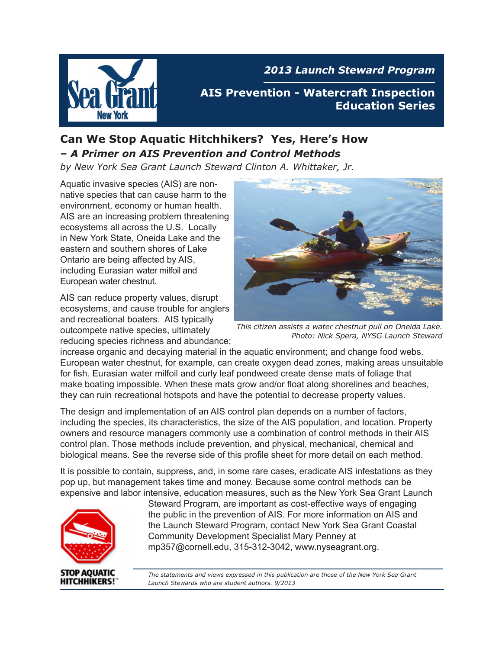

*2013 Launch Steward Program*

**AIS Prevention - Watercraft Inspection Education Series**

#### **Can We Stop Aquatic Hitchhikers? Yes, Here's How –** *A Primer on AIS Prevention and Control Methods*

*by New York Sea Grant Launch Steward Clinton A. Whittaker, Jr.*

Aquatic invasive species (AIS) are nonnative species that can cause harm to the environment, economy or human health. AIS are an increasing problem threatening ecosystems all across the U.S. Locally in New York State, Oneida Lake and the eastern and southern shores of Lake Ontario are being affected by AIS, including Eurasian water milfoil and European water chestnut.

AIS can reduce property values, disrupt ecosystems, and cause trouble for anglers and recreational boaters. AIS typically outcompete native species, ultimately reducing species richness and abundance;



 *This citizen assists a water chestnut pull on Oneida Lake. Photo: Nick Spera, NYSG Launch Steward* 

increase organic and decaying material in the aquatic environment; and change food webs. European water chestnut, for example, can create oxygen dead zones, making areas unsuitable for fish. Eurasian water milfoil and curly leaf pondweed create dense mats of foliage that make boating impossible. When these mats grow and/or float along shorelines and beaches, they can ruin recreational hotspots and have the potential to decrease property values.

The design and implementation of an AIS control plan depends on a number of factors, including the species, its characteristics, the size of the AIS population, and location. Property owners and resource managers commonly use a combination of control methods in their AIS control plan. Those methods include prevention, and physical, mechanical, chemical and biological means. See the reverse side of this profile sheet for more detail on each method.

It is possible to contain, suppress, and, in some rare cases, eradicate AIS infestations as they pop up, but management takes time and money. Because some control methods can be expensive and labor intensive, education measures, such as the New York Sea Grant Launch



Steward Program, are important as cost-effective ways of engaging the public in the prevention of AIS. For more information on AIS and the Launch Steward Program, contact New York Sea Grant Coastal Community Development Specialist Mary Penney at mp357@cornell.edu, 315-312-3042, www.nyseagrant.org.

*The statements and views expressed in this publication are those of the New York Sea Grant Launch Stewards who are student authors. 9/2013*